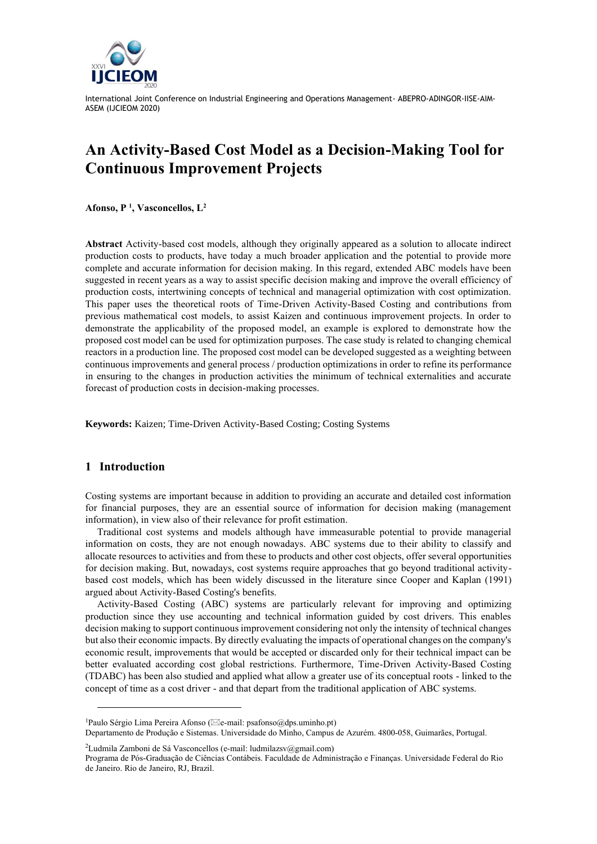

# **An Activity-Based Cost Model as a Decision-Making Tool for Continuous Improvement Projects**

**Afonso, P <sup>1</sup> , Vasconcellos, L<sup>2</sup>**

**Abstract** Activity-based cost models, although they originally appeared as a solution to allocate indirect production costs to products, have today a much broader application and the potential to provide more complete and accurate information for decision making. In this regard, extended ABC models have been suggested in recent years as a way to assist specific decision making and improve the overall efficiency of production costs, intertwining concepts of technical and managerial optimization with cost optimization. This paper uses the theoretical roots of Time-Driven Activity-Based Costing and contributions from previous mathematical cost models, to assist Kaizen and continuous improvement projects. In order to demonstrate the applicability of the proposed model, an example is explored to demonstrate how the proposed cost model can be used for optimization purposes. The case study is related to changing chemical reactors in a production line. The proposed cost model can be developed suggested as a weighting between continuous improvements and general process / production optimizations in order to refine its performance in ensuring to the changes in production activities the minimum of technical externalities and accurate forecast of production costs in decision-making processes.

**Keywords:** Kaizen; Time-Driven Activity-Based Costing; Costing Systems

#### **1 Introduction**

Costing systems are important because in addition to providing an accurate and detailed cost information for financial purposes, they are an essential source of information for decision making (management information), in view also of their relevance for profit estimation.

Traditional cost systems and models although have immeasurable potential to provide managerial information on costs, they are not enough nowadays. ABC systems due to their ability to classify and allocate resources to activities and from these to products and other cost objects, offer several opportunities for decision making. But, nowadays, cost systems require approaches that go beyond traditional activitybased cost models, which has been widely discussed in the literature since Cooper and Kaplan (1991) argued about Activity-Based Costing's benefits.

Activity-Based Costing (ABC) systems are particularly relevant for improving and optimizing production since they use accounting and technical information guided by cost drivers. This enables decision making to support continuous improvement considering not only the intensity of technical changes but also their economic impacts. By directly evaluating the impacts of operational changes on the company's economic result, improvements that would be accepted or discarded only for their technical impact can be better evaluated according cost global restrictions. Furthermore, Time-Driven Activity-Based Costing (TDABC) has been also studied and applied what allow a greater use of its conceptual roots - linked to the concept of time as a cost driver - and that depart from the traditional application of ABC systems.

<sup>2</sup>Ludmila Zamboni de Sá Vasconcellos (e-mail: ludmilazsv@gmail.com)

<sup>&</sup>lt;sup>1</sup>Paulo Sérgio Lima Pereira Afonso ( $\boxtimes$ e-mail: psafonso $(\partial \text{d}$ ghs.uminho.pt)

Departamento de Produção e Sistemas. Universidade do Minho, Campus de Azurém. 4800-058, Guimarães, Portugal.

Programa de Pós-Graduação de Ciências Contábeis. Faculdade de Administração e Finanças. Universidade Federal do Rio de Janeiro. Rio de Janeiro, RJ, Brazil.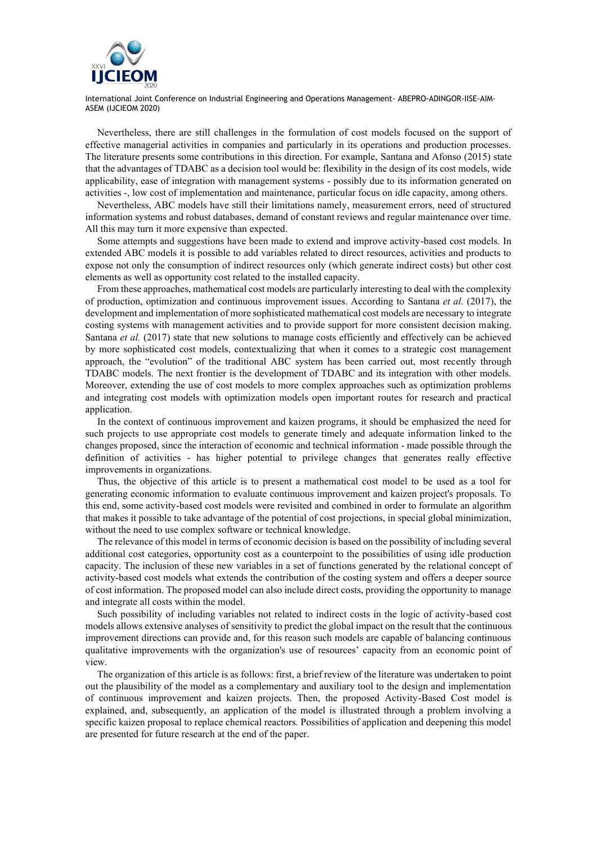

Nevertheless, there are still challenges in the formulation of cost models focused on the support of effective managerial activities in companies and particularly in its operations and production processes. The literature presents some contributions in this direction. For example, Santana and Afonso (2015) state that the advantages of TDABC as a decision tool would be: flexibility in the design of its cost models, wide applicability, ease of integration with management systems - possibly due to its information generated on activities -, low cost of implementation and maintenance, particular focus on idle capacity, among others.

Nevertheless, ABC models have still their limitations namely, measurement errors, need of structured information systems and robust databases, demand of constant reviews and regular maintenance over time. All this may turn it more expensive than expected.

Some attempts and suggestions have been made to extend and improve activity-based cost models. In extended ABC models it is possible to add variables related to direct resources, activities and products to expose not only the consumption of indirect resources only (which generate indirect costs) but other cost elements as well as opportunity cost related to the installed capacity.

From these approaches, mathematical cost models are particularly interesting to deal with the complexity of production, optimization and continuous improvement issues. According to Santana *et al.* (2017), the development and implementation of more sophisticated mathematical cost models are necessary to integrate costing systems with management activities and to provide support for more consistent decision making. Santana *et al.* (2017) state that new solutions to manage costs efficiently and effectively can be achieved by more sophisticated cost models, contextualizing that when it comes to a strategic cost management approach, the "evolution" of the traditional ABC system has been carried out, most recently through TDABC models. The next frontier is the development of TDABC and its integration with other models. Moreover, extending the use of cost models to more complex approaches such as optimization problems and integrating cost models with optimization models open important routes for research and practical application.

In the context of continuous improvement and kaizen programs, it should be emphasized the need for such projects to use appropriate cost models to generate timely and adequate information linked to the changes proposed, since the interaction of economic and technical information - made possible through the definition of activities - has higher potential to privilege changes that generates really effective improvements in organizations.

Thus, the objective of this article is to present a mathematical cost model to be used as a tool for generating economic information to evaluate continuous improvement and kaizen project's proposals. To this end, some activity-based cost models were revisited and combined in order to formulate an algorithm that makes it possible to take advantage of the potential of cost projections, in special global minimization, without the need to use complex software or technical knowledge.

The relevance of this model in terms of economic decision is based on the possibility of including several additional cost categories, opportunity cost as a counterpoint to the possibilities of using idle production capacity. The inclusion of these new variables in a set of functions generated by the relational concept of activity-based cost models what extends the contribution of the costing system and offers a deeper source of cost information. The proposed model can also include direct costs, providing the opportunity to manage and integrate all costs within the model.

Such possibility of including variables not related to indirect costs in the logic of activity-based cost models allows extensive analyses of sensitivity to predict the global impact on the result that the continuous improvement directions can provide and, for this reason such models are capable of balancing continuous qualitative improvements with the organization's use of resources' capacity from an economic point of view.

The organization of this article is as follows: first, a brief review of the literature was undertaken to point out the plausibility of the model as a complementary and auxiliary tool to the design and implementation of continuous improvement and kaizen projects. Then, the proposed Activity-Based Cost model is explained, and, subsequently, an application of the model is illustrated through a problem involving a specific kaizen proposal to replace chemical reactors. Possibilities of application and deepening this model are presented for future research at the end of the paper.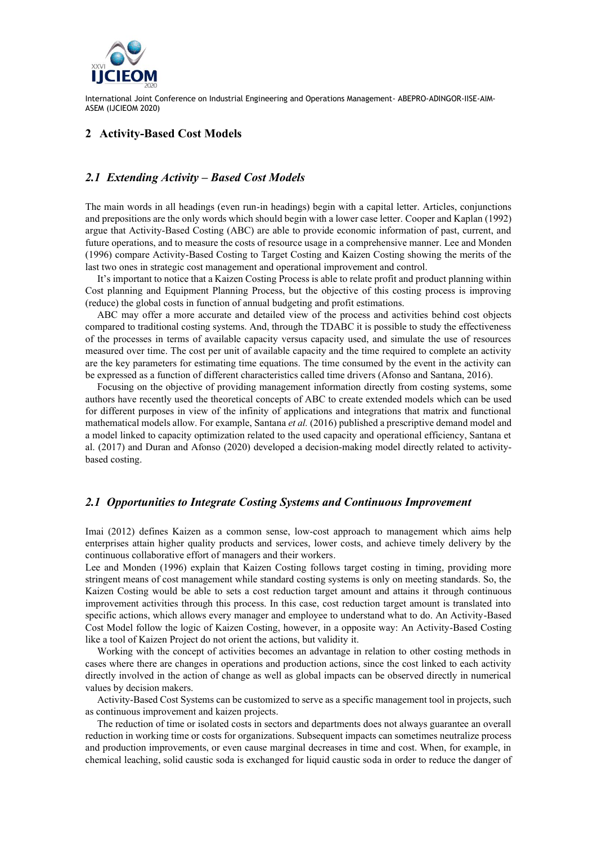

#### **2 Activity-Based Cost Models**

## *2.1 Extending Activity – Based Cost Models*

The main words in all headings (even run-in headings) begin with a capital letter. Articles, conjunctions and prepositions are the only words which should begin with a lower case letter. Cooper and Kaplan (1992) argue that Activity-Based Costing (ABC) are able to provide economic information of past, current, and future operations, and to measure the costs of resource usage in a comprehensive manner. Lee and Monden (1996) compare Activity-Based Costing to Target Costing and Kaizen Costing showing the merits of the last two ones in strategic cost management and operational improvement and control.

It's important to notice that a Kaizen Costing Process is able to relate profit and product planning within Cost planning and Equipment Planning Process, but the objective of this costing process is improving (reduce) the global costs in function of annual budgeting and profit estimations.

ABC may offer a more accurate and detailed view of the process and activities behind cost objects compared to traditional costing systems. And, through the TDABC it is possible to study the effectiveness of the processes in terms of available capacity versus capacity used, and simulate the use of resources measured over time. The cost per unit of available capacity and the time required to complete an activity are the key parameters for estimating time equations. The time consumed by the event in the activity can be expressed as a function of different characteristics called time drivers (Afonso and Santana, 2016).

Focusing on the objective of providing management information directly from costing systems, some authors have recently used the theoretical concepts of ABC to create extended models which can be used for different purposes in view of the infinity of applications and integrations that matrix and functional mathematical models allow. For example, Santana *et al.* (2016) published a prescriptive demand model and a model linked to capacity optimization related to the used capacity and operational efficiency, Santana et al. (2017) and Duran and Afonso (2020) developed a decision-making model directly related to activitybased costing.

#### *2.1 Opportunities to Integrate Costing Systems and Continuous Improvement*

Imai (2012) defines Kaizen as a common sense, low-cost approach to management which aims help enterprises attain higher quality products and services, lower costs, and achieve timely delivery by the continuous collaborative effort of managers and their workers.

Lee and Monden (1996) explain that Kaizen Costing follows target costing in timing, providing more stringent means of cost management while standard costing systems is only on meeting standards. So, the Kaizen Costing would be able to sets a cost reduction target amount and attains it through continuous improvement activities through this process. In this case, cost reduction target amount is translated into specific actions, which allows every manager and employee to understand what to do. An Activity-Based Cost Model follow the logic of Kaizen Costing, however, in a opposite way: An Activity-Based Costing like a tool of Kaizen Project do not orient the actions, but validity it.

Working with the concept of activities becomes an advantage in relation to other costing methods in cases where there are changes in operations and production actions, since the cost linked to each activity directly involved in the action of change as well as global impacts can be observed directly in numerical values by decision makers.

Activity-Based Cost Systems can be customized to serve as a specific management tool in projects, such as continuous improvement and kaizen projects.

The reduction of time or isolated costs in sectors and departments does not always guarantee an overall reduction in working time or costs for organizations. Subsequent impacts can sometimes neutralize process and production improvements, or even cause marginal decreases in time and cost. When, for example, in chemical leaching, solid caustic soda is exchanged for liquid caustic soda in order to reduce the danger of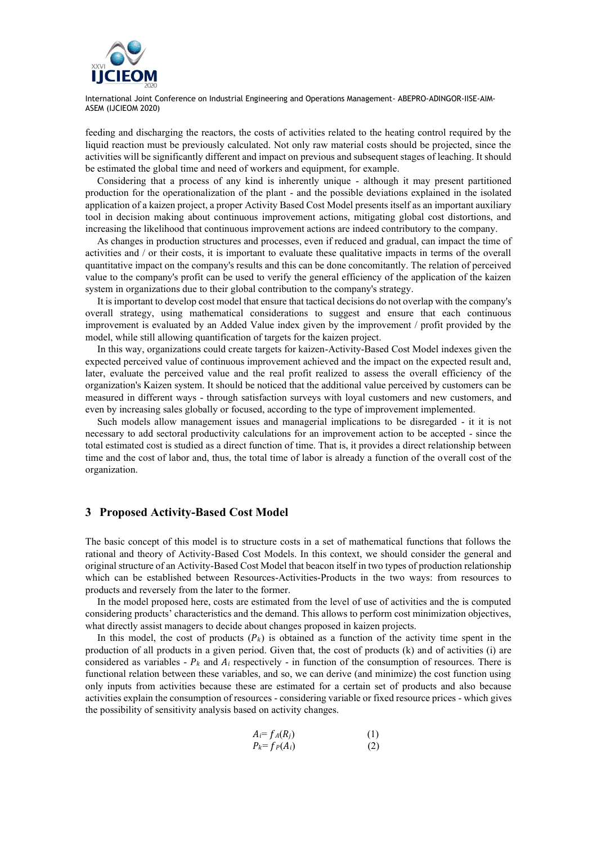

feeding and discharging the reactors, the costs of activities related to the heating control required by the liquid reaction must be previously calculated. Not only raw material costs should be projected, since the activities will be significantly different and impact on previous and subsequent stages of leaching. It should be estimated the global time and need of workers and equipment, for example.

Considering that a process of any kind is inherently unique - although it may present partitioned production for the operationalization of the plant - and the possible deviations explained in the isolated application of a kaizen project, a proper Activity Based Cost Model presents itself as an important auxiliary tool in decision making about continuous improvement actions, mitigating global cost distortions, and increasing the likelihood that continuous improvement actions are indeed contributory to the company.

As changes in production structures and processes, even if reduced and gradual, can impact the time of activities and / or their costs, it is important to evaluate these qualitative impacts in terms of the overall quantitative impact on the company's results and this can be done concomitantly. The relation of perceived value to the company's profit can be used to verify the general efficiency of the application of the kaizen system in organizations due to their global contribution to the company's strategy.

It is important to develop cost model that ensure that tactical decisions do not overlap with the company's overall strategy, using mathematical considerations to suggest and ensure that each continuous improvement is evaluated by an Added Value index given by the improvement / profit provided by the model, while still allowing quantification of targets for the kaizen project.

In this way, organizations could create targets for kaizen-Activity-Based Cost Model indexes given the expected perceived value of continuous improvement achieved and the impact on the expected result and, later, evaluate the perceived value and the real profit realized to assess the overall efficiency of the organization's Kaizen system. It should be noticed that the additional value perceived by customers can be measured in different ways - through satisfaction surveys with loyal customers and new customers, and even by increasing sales globally or focused, according to the type of improvement implemented.

Such models allow management issues and managerial implications to be disregarded - it it is not necessary to add sectoral productivity calculations for an improvement action to be accepted - since the total estimated cost is studied as a direct function of time. That is, it provides a direct relationship between time and the cost of labor and, thus, the total time of labor is already a function of the overall cost of the organization.

## **3 Proposed Activity-Based Cost Model**

The basic concept of this model is to structure costs in a set of mathematical functions that follows the rational and theory of Activity-Based Cost Models. In this context, we should consider the general and original structure of an Activity-Based Cost Model that beacon itself in two types of production relationship which can be established between Resources-Activities-Products in the two ways: from resources to products and reversely from the later to the former.

In the model proposed here, costs are estimated from the level of use of activities and the is computed considering products' characteristics and the demand. This allows to perform cost minimization objectives, what directly assist managers to decide about changes proposed in kaizen projects.

In this model, the cost of products  $(P_k)$  is obtained as a function of the activity time spent in the production of all products in a given period. Given that, the cost of products (k) and of activities (i) are considered as variables -  $P_k$  and  $A_i$  respectively - in function of the consumption of resources. There is functional relation between these variables, and so, we can derive (and minimize) the cost function using only inputs from activities because these are estimated for a certain set of products and also because activities explain the consumption of resources - considering variable or fixed resource prices - which gives the possibility of sensitivity analysis based on activity changes.

$$
A_i = f_A(R_j)
$$
  
\n
$$
P_k = f_P(A_i)
$$
\n(1)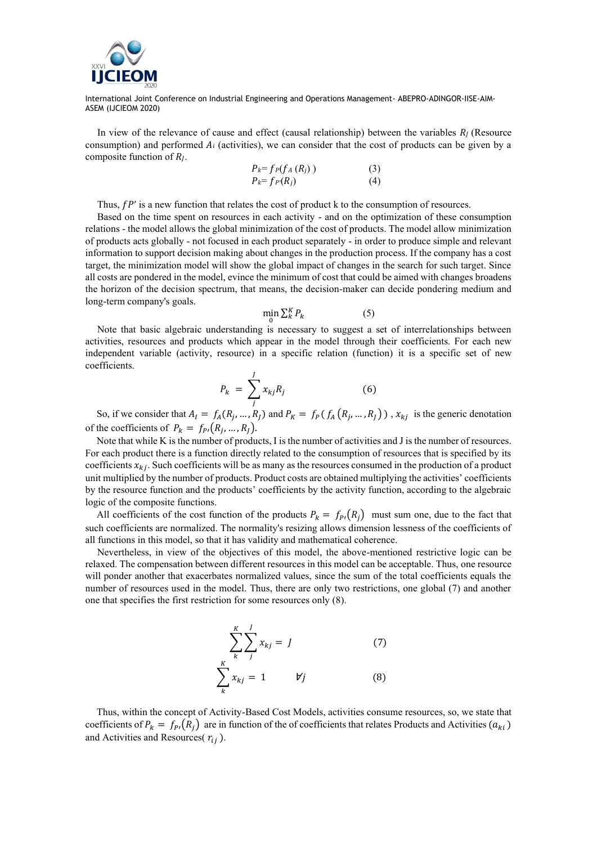

In view of the relevance of cause and effect (causal relationship) between the variables  $R_l$  (Resource consumption) and performed  $A_i$  (activities), we can consider that the cost of products can be given by a composite function of  $R_l$ .

$$
P_k = f_P(f_A(R_j))
$$
\n
$$
P_k = f_P(R_j)
$$
\n(3)

Thus,  $fP'$  is a new function that relates the cost of product k to the consumption of resources.

Based on the time spent on resources in each activity - and on the optimization of these consumption relations - the model allows the global minimization of the cost of products. The model allow minimization of products acts globally - not focused in each product separately - in order to produce simple and relevant information to support decision making about changes in the production process. If the company has a cost target, the minimization model will show the global impact of changes in the search for such target. Since all costs are pondered in the model, evince the minimum of cost that could be aimed with changes broadens the horizon of the decision spectrum, that means, the decision-maker can decide pondering medium and long-term company's goals.

$$
\min_{\alpha} \sum_{k}^{K} P_k \tag{5}
$$

Note that basic algebraic understanding is necessary to suggest a set of interrelationships between activities, resources and products which appear in the model through their coefficients. For each new independent variable (activity, resource) in a specific relation (function) it is a specific set of new coefficients.

$$
P_k = \sum_{j}^{J} x_{kj} R_j \tag{6}
$$

So, if we consider that  $A_I = f_A(R_j, ..., R_J)$  and  $P_K = f_P(f_A(R_j, ..., R_J))$ ,  $x_{kj}$  is the generic denotation of the coefficients of  $P_k = f_{P}(R_j, ..., R_j)$ .

Note that while K is the number of products, I is the number of activities and J is the number of resources. For each product there is a function directly related to the consumption of resources that is specified by its coefficients  $x_{ki}$ . Such coefficients will be as many as the resources consumed in the production of a product unit multiplied by the number of products. Product costs are obtained multiplying the activities' coefficients by the resource function and the products' coefficients by the activity function, according to the algebraic logic of the composite functions.

All coefficients of the cost function of the products  $P_k = f_{P}(R_i)$  must sum one, due to the fact that such coefficients are normalized. The normality's resizing allows dimension lessness of the coefficients of all functions in this model, so that it has validity and mathematical coherence.

Nevertheless, in view of the objectives of this model, the above-mentioned restrictive logic can be relaxed. The compensation between different resources in this model can be acceptable. Thus, one resource will ponder another that exacerbates normalized values, since the sum of the total coefficients equals the number of resources used in the model. Thus, there are only two restrictions, one global (7) and another one that specifies the first restriction for some resources only (8).

$$
\sum_{k}^{K} \sum_{j}^{J} x_{kj} = J \tag{7}
$$
\n
$$
\sum_{k}^{K} x_{kj} = 1 \qquad \forall j \tag{8}
$$

Thus, within the concept of Activity-Based Cost Models, activities consume resources, so, we state that coefficients of  $P_k = f_{p_i}(R_i)$  are in function of the of coefficients that relates Products and Activities  $(a_{ki})$ and Activities and Resources( $r_{ij}$ ).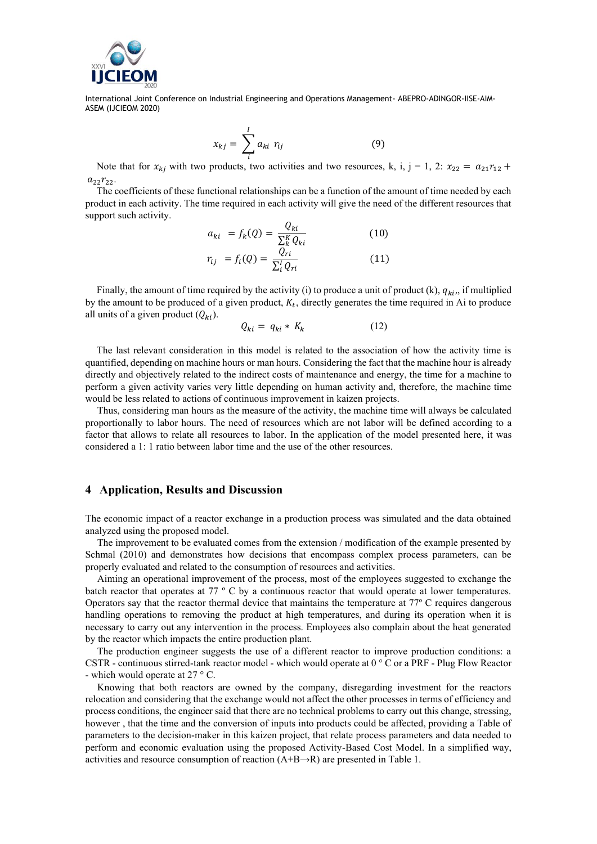

$$
x_{kj} = \sum_{i=1}^{I} a_{ki} r_{ij} \tag{9}
$$

Note that for  $x_{kj}$  with two products, two activities and two resources, k, i, j = 1, 2:  $x_{22} = a_{21}r_{12} + a_{22}r_{12}r_{23}$  $a_{22}r_{22}$ .

The coefficients of these functional relationships can be a function of the amount of time needed by each product in each activity. The time required in each activity will give the need of the different resources that support such activity.

$$
a_{ki} = f_k(Q) = \frac{Q_{ki}}{\sum_{k}^{K} Q_{ki}} \tag{10}
$$

$$
r_{ij} = f_i(Q) = \frac{Q_{ri}}{\sum_i^I Q_{ri}} \tag{11}
$$

Finally, the amount of time required by the activity (i) to produce a unit of product (k),  $q_{ki}$ , if multiplied by the amount to be produced of a given product,  $K_t$ , directly generates the time required in Ai to produce all units of a given product  $(Q_{ki})$ .

$$
Q_{ki} = q_{ki} * K_k \tag{12}
$$

The last relevant consideration in this model is related to the association of how the activity time is quantified, depending on machine hours or man hours. Considering the fact that the machine hour is already directly and objectively related to the indirect costs of maintenance and energy, the time for a machine to perform a given activity varies very little depending on human activity and, therefore, the machine time would be less related to actions of continuous improvement in kaizen projects.

Thus, considering man hours as the measure of the activity, the machine time will always be calculated proportionally to labor hours. The need of resources which are not labor will be defined according to a factor that allows to relate all resources to labor. In the application of the model presented here, it was considered a 1: 1 ratio between labor time and the use of the other resources.

## **4 Application, Results and Discussion**

The economic impact of a reactor exchange in a production process was simulated and the data obtained analyzed using the proposed model.

The improvement to be evaluated comes from the extension / modification of the example presented by Schmal (2010) and demonstrates how decisions that encompass complex process parameters, can be properly evaluated and related to the consumption of resources and activities.

Aiming an operational improvement of the process, most of the employees suggested to exchange the batch reactor that operates at 77 º C by a continuous reactor that would operate at lower temperatures. Operators say that the reactor thermal device that maintains the temperature at 77º C requires dangerous handling operations to removing the product at high temperatures, and during its operation when it is necessary to carry out any intervention in the process. Employees also complain about the heat generated by the reactor which impacts the entire production plant.

The production engineer suggests the use of a different reactor to improve production conditions: a CSTR - continuous stirred-tank reactor model - which would operate at 0 ° C or a PRF - Plug Flow Reactor - which would operate at 27 ° C.

Knowing that both reactors are owned by the company, disregarding investment for the reactors relocation and considering that the exchange would not affect the other processes in terms of efficiency and process conditions, the engineer said that there are no technical problems to carry out this change, stressing, however , that the time and the conversion of inputs into products could be affected, providing a Table of parameters to the decision-maker in this kaizen project, that relate process parameters and data needed to perform and economic evaluation using the proposed Activity-Based Cost Model. In a simplified way, activities and resource consumption of reaction  $(A+B\rightarrow R)$  are presented in Table 1.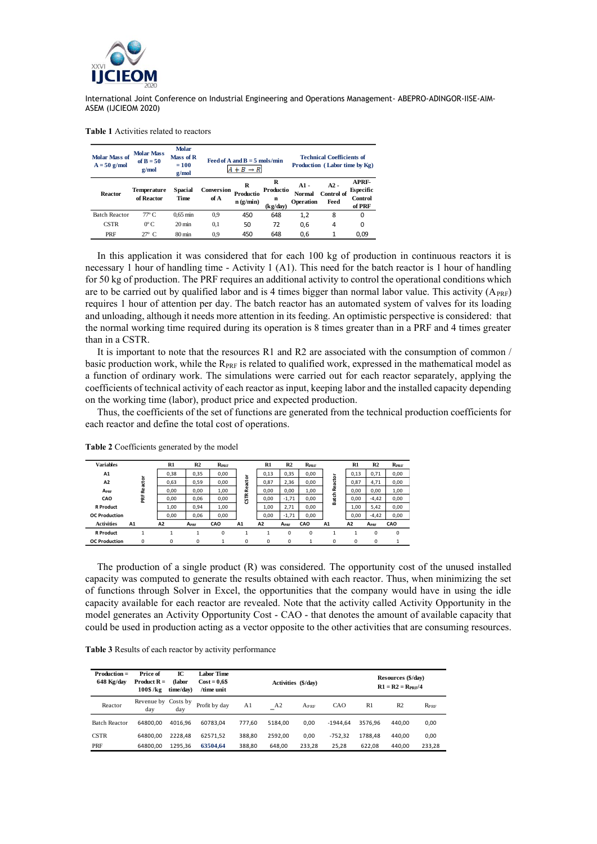

**Table 1** Activities related to reactors

| <b>Molar Mass of</b><br>$A = 50$ g/mol | <b>Molar Mass</b><br>of $B = 50$<br>g/mol | <b>Molar</b><br>Mass of R<br>$= 100$<br>g/mol |                    | Feed of A and $B = 5$ mols/min<br>$+ B \rightarrow R$ |                                 | <b>Technical Coefficients of</b><br>Production (Labor time by Kg) |                              |                                         |  |
|----------------------------------------|-------------------------------------------|-----------------------------------------------|--------------------|-------------------------------------------------------|---------------------------------|-------------------------------------------------------------------|------------------------------|-----------------------------------------|--|
| Reactor                                | Temperature<br>of Reactor                 | Spacial<br><b>Time</b>                        | Conversion<br>of A | R<br>Productio<br>n(g/min)                            | R<br>Productio<br>n<br>(kg/day) | $A1 -$<br><b>Normal</b><br>Operation                              | $A2 -$<br>Control of<br>Feed | APRF-<br>Especific<br>Control<br>of PRF |  |
| <b>Batch Reactor</b>                   | $77^{\circ}$ C.                           | $0.65$ min                                    | 0.9                | 450                                                   | 648                             | 1,2                                                               | 8                            | 0                                       |  |
| <b>CSTR</b>                            | $0^{\circ}$ C.                            | $20 \text{ min}$                              | 0,1                | 50                                                    | 72                              | 0,6                                                               | 4                            | 0                                       |  |
| PRF                                    | $27^\circ$ C.                             | 80 min                                        | 0.9                | 450                                                   | 648                             | 0,6                                                               | 1                            | 0.09                                    |  |

In this application it was considered that for each 100 kg of production in continuous reactors it is necessary 1 hour of handling time - Activity 1 (A1). This need for the batch reactor is 1 hour of handling for 50 kg of production. The PRF requires an additional activity to control the operational conditions which are to be carried out by qualified labor and is 4 times bigger than normal labor value. This activity  $(A_{\text{PRF}})$ requires 1 hour of attention per day. The batch reactor has an automated system of valves for its loading and unloading, although it needs more attention in its feeding. An optimistic perspective is considered: that the normal working time required during its operation is 8 times greater than in a PRF and 4 times greater than in a CSTR.

It is important to note that the resources R1 and R2 are associated with the consumption of common / basic production work, while the  $R_{PRE}$  is related to qualified work, expressed in the mathematical model as a function of ordinary work. The simulations were carried out for each reactor separately, applying the coefficients of technical activity of each reactor as input, keeping labor and the installed capacity depending on the working time (labor), product price and expected production.

Thus, the coefficients of the set of functions are generated from the technical production coefficients for each reactor and define the total cost of operations.

| <b>Variables</b>     |    |             | $R1$ | R <sub>2</sub>   | $R_{PRE}$ |                | R1             | R2               | $R_{PRE}$   |         | R1             | R <sub>2</sub>   | $R_{PRE}$   |
|----------------------|----|-------------|------|------------------|-----------|----------------|----------------|------------------|-------------|---------|----------------|------------------|-------------|
| A1                   |    |             | 0,38 | 0,35             | 0,00      |                | 0,13           | 0,35             | 0,00        |         | 0,13           | 0,71             | 0,00        |
| A <sub>2</sub>       |    | Reactor     | 0,63 | 0,59             | 0,00      | Reactor        | 0,87           | 2,36             | 0,00        | Reactor | 0,87           | 4,71             | 0,00        |
| A <sub>PRF</sub>     |    |             | 0,00 | 0,00             | 1,00      |                | 0,00           | 0,00             | 1,00        |         | 0,00           | 0,00             | 1,00        |
| CAO                  |    | 쑱           | 0,00 | 0,06             | 0,00      | <b>GTR</b>     | 0,00           | $-1,71$          | 0,00        | Batch   | 0,00           | $-4,42$          | 0,00        |
| <b>R</b> Product     |    |             | 1,00 | 0,94             | 1,00      |                | 1,00           | 2.71             | 0,00        |         | 1,00           | 5,42             | 0,00        |
| <b>OC</b> Production |    |             | 0,00 | 0,06             | 0,00      |                | 0,00           | $-1,71$          | 0,00        |         | 0,00           | $-4,42$          | 0,00        |
| <b>Activities</b>    | A1 |             | A2   | A <sub>PRF</sub> | CAO       | A <sub>1</sub> | A <sub>2</sub> | A <sub>PRF</sub> | CAO         | A1      | A <sub>2</sub> | A <sub>PRF</sub> | CAO         |
| <b>R</b> Product     |    | ۸           |      | 1                | 0         |                |                | 0                | $\mathbf 0$ | 1       |                | 0                | $\mathbf 0$ |
| <b>OC</b> Production |    | $\mathbf 0$ | 0    | 0                | 1         | $\mathbf 0$    | $\mathbf 0$    | 0                | 1           | 0       | 0              | $\mathbf 0$      | 1           |

**Table 2** Coefficients generated by the model

The production of a single product (R) was considered. The opportunity cost of the unused installed capacity was computed to generate the results obtained with each reactor. Thus, when minimizing the set of functions through Solver in Excel, the opportunities that the company would have in using the idle capacity available for each reactor are revealed. Note that the activity called Activity Opportunity in the model generates an Activity Opportunity Cost - CAO - that denotes the amount of available capacity that could be used in production acting as a vector opposite to the other activities that are consuming resources.

| <b>Table 3</b> Results of each reactor by activity performance |
|----------------------------------------------------------------|
|----------------------------------------------------------------|

| $Production =$<br>648 Kg/day | Price of<br><b>Product R</b> =<br>$100\$ /kg | IC<br>(labor<br>time/day) | Labor Time<br>$Cost = 0.6$ \$<br>/time unit |        |         | Activities (\$/day) | Resources (\$/day)<br>$R1 = R2 = R_{PRF}/4$ |         |                |               |
|------------------------------|----------------------------------------------|---------------------------|---------------------------------------------|--------|---------|---------------------|---------------------------------------------|---------|----------------|---------------|
| Reactor                      | Revenue by<br>day                            | Costs by<br>day           | Profit by day                               | A1     | A2      | $A_{PRE}$           | CAO                                         | R1      | R <sub>2</sub> | $R_{\rm PRF}$ |
| <b>Batch Reactor</b>         | 64800.00                                     | 4016.96                   | 60783.04                                    | 777.60 | 5184.00 | 0.00                | $-1944.64$                                  | 3576.96 | 440.00         | 0,00          |
| <b>CSTR</b>                  | 64800.00                                     | 2228.48                   | 62571.52                                    | 388.80 | 2592.00 | 0.00                | $-752.32$                                   | 1788.48 | 440.00         | 0,00          |
| PRF                          | 64800.00                                     | 1295.36                   | 63504.64                                    | 388.80 | 648.00  | 233.28              | 25.28                                       | 622.08  | 440.00         | 233,28        |